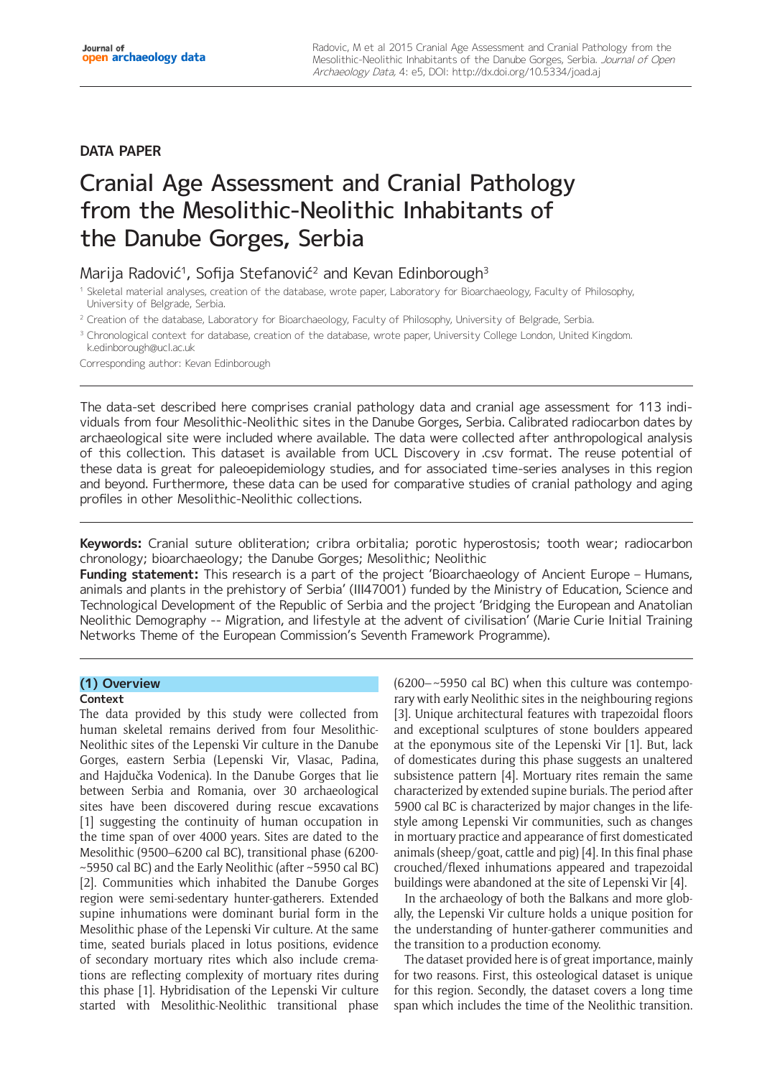# **DATA PAPER**

# Cranial Age Assessment and Cranial Pathology from the Mesolithic-Neolithic Inhabitants of the Danube Gorges, Serbia

# Marija Radović<sup>1</sup>, Sofija Stefanović<sup>2</sup> and Kevan Edinborough<sup>3</sup>

- <sup>1</sup> Skeletal material analyses, creation of the database, wrote paper, Laboratory for Bioarchaeology, Faculty of Philosophy, University of Belgrade, Serbia.
- <sup>2</sup> Creation of the database, Laboratory for Bioarchaeology, Faculty of Philosophy, University of Belgrade, Serbia.
- <sup>3</sup> Chronological context for database, creation of the database, wrote paper, University College London, United Kingdom. [k.edinborough@ucl.ac.uk](mailto:k.edinborough@ucl.ac.uk)

Corresponding author: Kevan Edinborough

The data-set described here comprises cranial pathology data and cranial age assessment for 113 individuals from four Mesolithic-Neolithic sites in the Danube Gorges, Serbia. Calibrated radiocarbon dates by archaeological site were included where available. The data were collected after anthropological analysis of this collection. This dataset is available from UCL Discovery in .csv format. The reuse potential of these data is great for paleoepidemiology studies, and for associated time-series analyses in this region and beyond. Furthermore, these data can be used for comparative studies of cranial pathology and aging profiles in other Mesolithic-Neolithic collections.

**Keywords:** Cranial suture obliteration; cribra orbitalia; porotic hyperostosis; tooth wear; radiocarbon chronology; bioarchaeology; the Danube Gorges; Mesolithic; Neolithic

**Funding statement:** This research is a part of the project 'Bioarchaeology of Ancient Europe – Humans, animals and plants in the prehistory of Serbia' (III47001) funded by the Ministry of Education, Science and Technological Development of the Republic of Serbia and the project 'Bridging the European and Anatolian Neolithic Demography -- Migration, and lifestyle at the advent of civilisation' (Marie Curie Initial Training Networks Theme of the European Commission's Seventh Framework Programme).

# **(1) Overview**

# **Context**

The data provided by this study were collected from human skeletal remains derived from four Mesolithic-Neolithic sites of the Lepenski Vir culture in the Danube Gorges, eastern Serbia (Lepenski Vir, Vlasac, Padina, and Hajdučka Vodenica). In the Danube Gorges that lie between Serbia and Romania, over 30 archaeological sites have been discovered during rescue excavations [1] suggesting the continuity of human occupation in the time span of over 4000 years. Sites are dated to the Mesolithic (9500–6200 cal BC), transitional phase (6200- ~5950 cal BC) and the Early Neolithic (after ~5950 cal BC) [2]. Communities which inhabited the Danube Gorges region were semi-sedentary hunter-gatherers. Extended supine inhumations were dominant burial form in the Mesolithic phase of the Lepenski Vir culture. At the same time, seated burials placed in lotus positions, evidence of secondary mortuary rites which also include cremations are reflecting complexity of mortuary rites during this phase [1]. Hybridisation of the Lepenski Vir culture started with Mesolithic-Neolithic transitional phase

(6200–~5950 cal BC) when this culture was contemporary with early Neolithic sites in the neighbouring regions [3]. Unique architectural features with trapezoidal floors and exceptional sculptures of stone boulders appeared at the eponymous site of the Lepenski Vir [1]. But, lack of domesticates during this phase suggests an unaltered subsistence pattern [4]. Mortuary rites remain the same characterized by extended supine burials. The period after 5900 cal BC is characterized by major changes in the lifestyle among Lepenski Vir communities, such as changes in mortuary practice and appearance of first domesticated animals (sheep/goat, cattle and pig) [4]. In this final phase crouched/flexed inhumations appeared and trapezoidal buildings were abandoned at the site of Lepenski Vir [4].

In the archaeology of both the Balkans and more globally, the Lepenski Vir culture holds a unique position for the understanding of hunter-gatherer communities and the transition to a production economy.

The dataset provided here is of great importance, mainly for two reasons. First, this osteological dataset is unique for this region. Secondly, the dataset covers a long time span which includes the time of the Neolithic transition.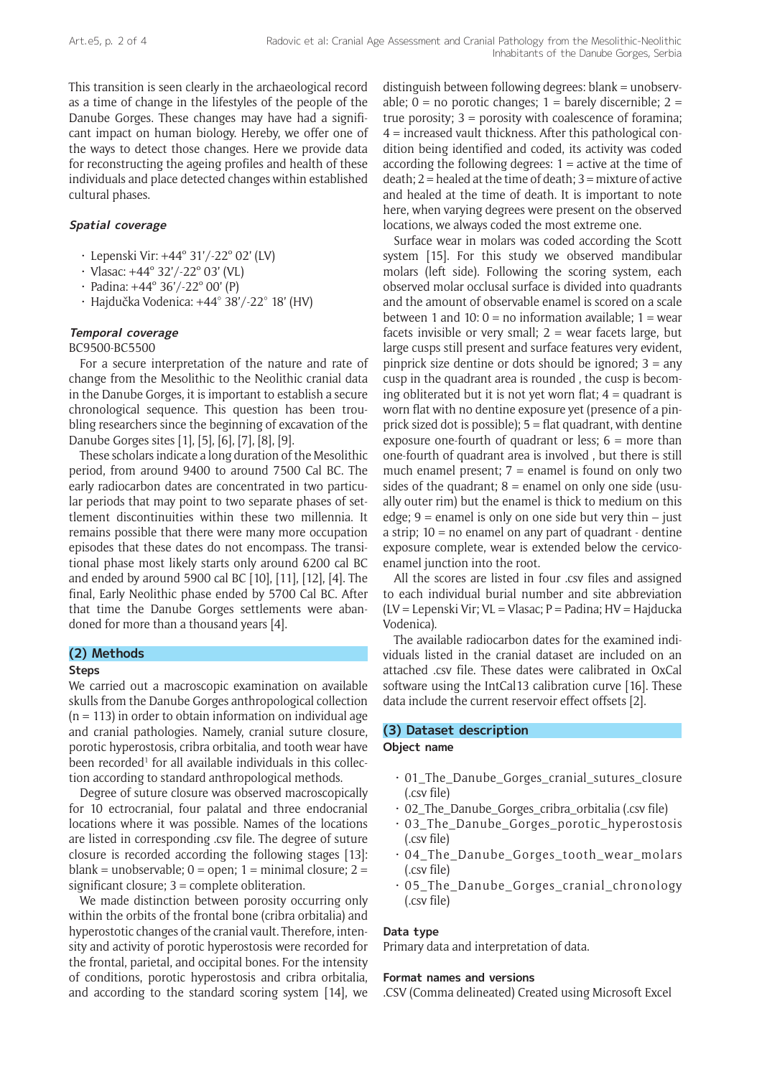This transition is seen clearly in the archaeological record as a time of change in the lifestyles of the people of the Danube Gorges. These changes may have had a significant impact on human biology. Hereby, we offer one of the ways to detect those changes. Here we provide data for reconstructing the ageing profiles and health of these individuals and place detected changes within established cultural phases.

## **Spatial coverage**

- Lepenski Vir: +44º 31'/-22º 02' (LV)
- Vlasac: +44º 32'/-22º 03' (VL)
- Padina: +44º 36'/-22º 00' (P)
- Hajdučka Vodenica: +44° 38'/-22° 18' (HV)

## **Temporal coverage**

BC9500-BC5500

For a secure interpretation of the nature and rate of change from the Mesolithic to the Neolithic cranial data in the Danube Gorges, it is important to establish a secure chronological sequence. This question has been troubling researchers since the beginning of excavation of the Danube Gorges sites [1], [5], [6], [7], [8], [9].

These scholars indicate a long duration of the Mesolithic period, from around 9400 to around 7500 Cal BC. The early radiocarbon dates are concentrated in two particular periods that may point to two separate phases of settlement discontinuities within these two millennia. It remains possible that there were many more occupation episodes that these dates do not encompass. The transitional phase most likely starts only around 6200 cal BC and ended by around 5900 cal BC [10], [11], [12], [4]. The final, Early Neolithic phase ended by 5700 Cal BC. After that time the Danube Gorges settlements were abandoned for more than a thousand years [4].

# **(2) Methods**

#### **Steps**

We carried out a macroscopic examination on available skulls from the Danube Gorges anthropological collection  $(n = 113)$  in order to obtain information on individual age and cranial pathologies. Namely, cranial suture closure, porotic hyperostosis, cribra orbitalia, and tooth wear have been recorded<sup>1</sup> for all available individuals in this collection according to standard anthropological methods.

Degree of suture closure was observed macroscopically for 10 ectrocranial, four palatal and three endocranial locations where it was possible. Names of the locations are listed in corresponding .csv file. The degree of suture closure is recorded according the following stages [13]: blank = unobservable;  $0 =$  open;  $1 =$  minimal closure;  $2 =$ significant closure; 3 = complete obliteration.

We made distinction between porosity occurring only within the orbits of the frontal bone (cribra orbitalia) and hyperostotic changes of the cranial vault. Therefore, intensity and activity of porotic hyperostosis were recorded for the frontal, parietal, and occipital bones. For the intensity of conditions, porotic hyperostosis and cribra orbitalia, and according to the standard scoring system [14], we

distinguish between following degrees: blank = unobservable;  $0 =$  no porotic changes;  $1 =$  barely discernible;  $2 =$ true porosity;  $3 =$  porosity with coalescence of foramina; 4 = increased vault thickness. After this pathological condition being identified and coded, its activity was coded according the following degrees: 1 = active at the time of death; 2 = healed at the time of death; 3 = mixture of active and healed at the time of death. It is important to note here, when varying degrees were present on the observed locations, we always coded the most extreme one.

Surface wear in molars was coded according the Scott system [15]. For this study we observed mandibular molars (left side). Following the scoring system, each observed molar occlusal surface is divided into quadrants and the amount of observable enamel is scored on a scale between 1 and 10:  $0 =$  no information available; 1 = wear facets invisible or very small;  $2 =$  wear facets large, but large cusps still present and surface features very evident, pinprick size dentine or dots should be ignored;  $3 = any$ cusp in the quadrant area is rounded , the cusp is becoming obliterated but it is not yet worn flat;  $4 =$  quadrant is worn flat with no dentine exposure yet (presence of a pinprick sized dot is possible); 5 = flat quadrant, with dentine exposure one-fourth of quadrant or less;  $6 =$  more than one-fourth of quadrant area is involved , but there is still much enamel present;  $7 =$  enamel is found on only two sides of the quadrant;  $8 =$  enamel on only one side (usually outer rim) but the enamel is thick to medium on this edge;  $9$  = enamel is only on one side but very thin  $-$  just a strip; 10 = no enamel on any part of quadrant - dentine exposure complete, wear is extended below the cervicoenamel junction into the root.

All the scores are listed in four .csv files and assigned to each individual burial number and site abbreviation (LV = Lepenski Vir; VL = Vlasac; P = Padina; HV = Hajducka Vodenica).

The available radiocarbon dates for the examined individuals listed in the cranial dataset are included on an attached .csv file. These dates were calibrated in OxCal software using the IntCal13 calibration curve [16]. These data include the current reservoir effect offsets [2].

#### **(3) Dataset description**

# **Object name**

- $\cdot$  01 The Danube Gorges cranial sutures closure (.csv file)
- 02\_The\_Danube\_Gorges\_cribra\_orbitalia (.csv file)
- 03\_The\_Danube\_Gorges\_porotic\_hyperostosis (.csv file)
- 04\_The\_Danube\_Gorges\_tooth\_wear\_molars (.csv file)
- 05\_The\_Danube\_Gorges\_cranial\_chronology (.csv file)

#### **Data type**

Primary data and interpretation of data.

#### **Format names and versions**

.CSV (Comma delineated) Created using Microsoft Excel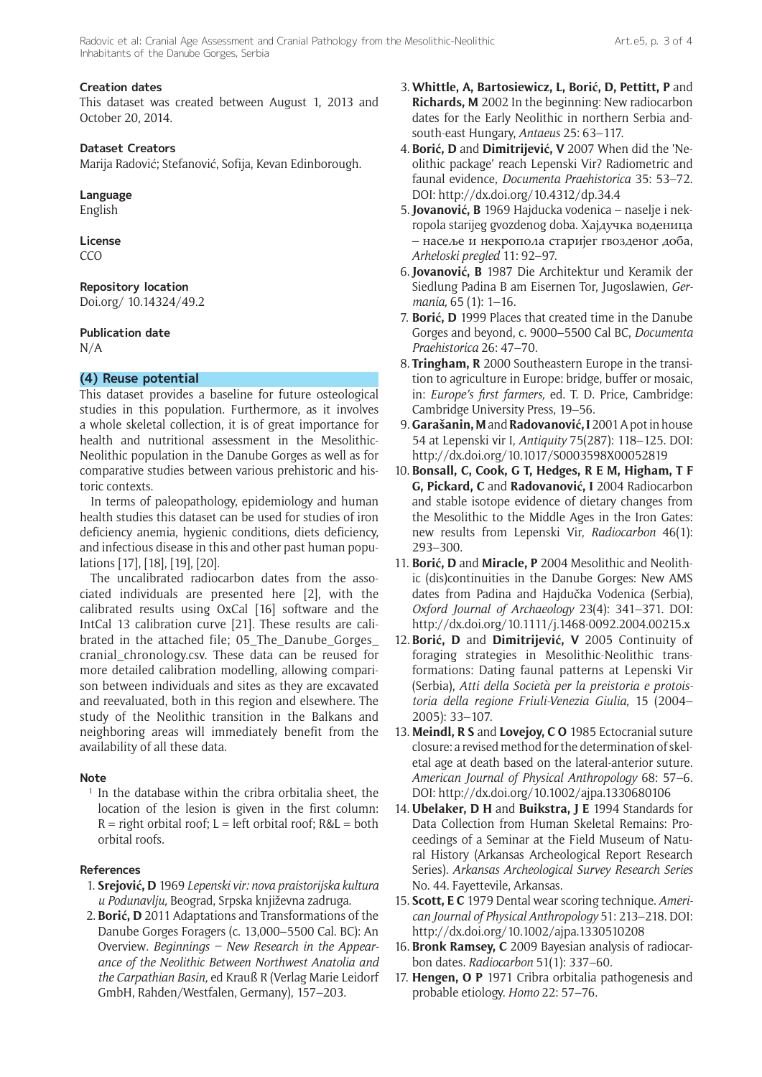# **Creation dates**

This dataset was created between August 1, 2013 and October 20, 2014.

# **Dataset Creators**

Marija Radović; Stefanović, Sofija, Kevan Edinborough.

## **Language**

English

#### **License**  CCO

# **Repository location**

[Doi.org/ 10.14324/49.2](http://doi.org/10.14324/49.2)

## **Publication date**

N/A

# **(4) Reuse potential**

This dataset provides a baseline for future osteological studies in this population. Furthermore, as it involves a whole skeletal collection, it is of great importance for health and nutritional assessment in the Mesolithic-Neolithic population in the Danube Gorges as well as for comparative studies between various prehistoric and historic contexts.

In terms of paleopathology, epidemiology and human health studies this dataset can be used for studies of iron deficiency anemia, hygienic conditions, diets deficiency, and infectious disease in this and other past human populations [17], [18], [19], [20].

The uncalibrated radiocarbon dates from the associated individuals are presented here [2], with the calibrated results using OxCal [16] software and the IntCal 13 calibration curve [21]. These results are calibrated in the attached file; 05\_The\_Danube\_Gorges\_ cranial\_chronology.csv. These data can be reused for more detailed calibration modelling, allowing comparison between individuals and sites as they are excavated and reevaluated, both in this region and elsewhere. The study of the Neolithic transition in the Balkans and neighboring areas will immediately benefit from the availability of all these data.

# **Note**

<sup>1</sup> In the database within the cribra orbitalia sheet, the location of the lesion is given in the first column:  $R =$  right orbital roof;  $L =$  left orbital roof;  $R&L =$  both orbital roofs.

# **References**

- 1. **Srejović, D** 1969 *Lepenski vir: nova praistorijska kultura u Podunavlju,* Beograd, Srpska književna zadruga.
- 2. **Borić, D** 2011 Adaptations and Transformations of the Danube Gorges Foragers (c. 13,000–5500 Cal. BC): An Overview*. Beginnings – New Research in the Appearance of the Neolithic Between Northwest Anatolia and the Carpathian Basin,* ed Krauß R (Verlag Marie Leidorf GmbH, Rahden/Westfalen, Germany), 157–203.
- 3. **Whittle, A, Bartosiewicz, L, Borić, D, Pettitt, P** and **Richards, M** 2002 In the beginning: New radiocarbon dates for the Early Neolithic in northern Serbia andsouth-east Hungary, *Antaeus* 25: 63–117.
- 4. **Borić, D** and **Dimitrijević, V** 2007 When did the 'Neolithic package' reach Lepenski Vir? Radiometric and faunal evidence, *Documenta Praehistorica* 35: 53–72. DOI: <http://dx.doi.org/10.4312/dp.34.4>
- 5.**Jovanović, B** 1969 Hajducka vodenica naselje i nekropola starijeg gvozdenog doba. Хајдучка воденица – насеље и некропола старијег гвозденог доба, *Arheloski pregled* 11: 92–97.
- 6.**Jovanović, B** 1987 Die Architektur und Keramik der Siedlung Padina B am Eisernen Tor, Jugoslawien, *Germania,* 65 (1): 1–16.
- 7. **Borić, D** 1999 Places that created time in the Danube Gorges and beyond, c. 9000–5500 Cal BC, *Documenta Praehistorica* 26: 47–70.
- 8. **Tringham, R** 2000 Southeastern Europe in the transition to agriculture in Europe: bridge, buffer or mosaic, in: *Europe's first farmers,* ed. T. D. Price, Cambridge: Cambridge University Press, 19–56.
- 9. **Garašanin, M** and **Radovanović, I** 2001 A pot in house 54 at Lepenski vir I, *Antiquity* 75(287): 118–125. DOI: <http://dx.doi.org/10.1017/S0003598X00052819>
- 10. **Bonsall, C, Cook, G T, Hedges, R E M, Higham, T F G, Pickard, C** and **Radovanović, I** 2004 Radiocarbon and stable isotope evidence of dietary changes from the Mesolithic to the Middle Ages in the Iron Gates: new results from Lepenski Vir, *Radiocarbon* 46(1): 293–300.
- 11. **Borić, D** and **Miracle, P** 2004 Mesolithic and Neolithic (dis)continuities in the Danube Gorges: New AMS dates from Padina and Hajdučka Vodenica (Serbia), *Oxford Journal of Archaeology* 23(4): 341–371. DOI: <http://dx.doi.org/10.1111/j.1468-0092.2004.00215.x>
- 12. **Borić, D** and **Dimitrijević, V** 2005 Continuity of foraging strategies in Mesolithic-Neolithic transformations: Dating faunal patterns at Lepenski Vir (Serbia), *Atti della Società per la preistoria e protoistoria della regione Friuli-Venezia Giulia,* 15 (2004– 2005): 33–107.
- 13. **Meindl, R S** and **Lovejoy, C O** 1985 Ectocranial suture closure: a revised method for the determination of skeletal age at death based on the lateral-anterior suture. *American Journal of Physical Anthropology* 68: 57–6. DOI: <http://dx.doi.org/10.1002/ajpa.1330680106>
- 14. **[Ubelaker](http://maximumbook.org/Douglas-H-Ubelaker/m2343/), D H** and **[Buikstra](http://maximumbook.org/Jane-E-Buikstra/m1471858/), J E** 1994 Standards for Data Collection from Human Skeletal Remains: Proceedings of a Seminar at the Field Museum of Natural History (Arkansas Archeological Report Research Series). *Arkansas Archeological Survey Research Series* No. 44. Fayettevile, Arkansas.
- 15. **Scott, E C** 1979 Dental wear scoring technique. *American Journal of Physical Anthropology* 51: 213–218. DOI: <http://dx.doi.org/10.1002/ajpa.1330510208>
- 16. **Bronk Ramsey, C** 2009 Bayesian analysis of radiocarbon dates. *Radiocarbon* 51(1): 337–60.
- 17. **Hengen, O P** 1971 Cribra orbitalia pathogenesis and probable etiology. *Homo* 22: 57–76.